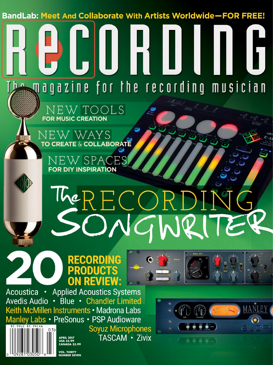**BandLab: Meet And Collaborate With Artists Worldwide-FOR FREE!** 

# $h_{\text{max}}$  and a zine for the recording musician  $NEW$   $TOOLS$ <br>FOR MUSIC CREATION NEW WAYS **TO CREATE & COLLABORATE** NEW SPACES **FOR DIY INSPIRATION**

# TheRECORDII SONGWRI

# **RECORDING PRODUCTS ON REVIEW:**



**Soyuz Microphones** TASCAM · Zivix





**VOL. THIRTY** 

**APRIL 2017**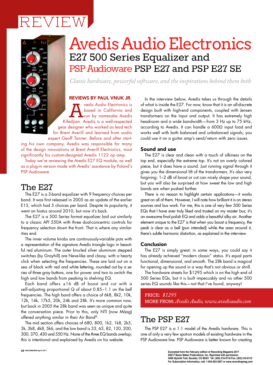# REVIEW



# Avedis Audio Electronics E27 500 Series Equalizer and PSP Audioware PSP E27 and PSP E27 SE

*Classic hardware, powerful software, and the inspirations behind them both*

#### REVIEWS BY PAUL VNUK JR.

**Avedis Audio Electronics is**<br> **A** based in California and<br>
Kifedjian. Avedis is a well-respected based in California and run by namesake Avedis gear designer who worked as lead tech for Brent Averill and learned from audio expert Geoff Tanner. Before and after start-

ing his own company, Avedis was responsible for many of the design innovations at Brent Averill Electronics, most significantly his custom-designed Avedis 1122 op amp.

Today we're reviewing the Avedis E27 EQ module, as well as a plug-in version made with Avedis' assistance by Poland's PSP Audioware.

### The E27

The E27 is a 3-band equalizer with 9 frequency choices per band. It was first released in 2005 as an update of the earlier E15, which had 5 choices per band. Despite its popularity, it went on hiatus around 2010, but now it's back.

The E27 is a 500 Series format equalizer laid out similarly to a classic API 550A with three dual-concentric controls for frequency selection down the front. That is where any similarities end.

The inner volume knobs are continuously-variable pots with a representation of the signature Avedis triangle logo in beautiful red aluminum. The outer knurled silver aluminum stepped switches (by Grayhill) are Neve-like and classy, with a hearty click when selecting the frequencies. These are laid out on a sea of black with red and white lettering, rounded out by a series of three gray buttons, one for power and two to switch the high and low bands from peaking to shelving EQ.

Each band offers ±16 dB of boost and cut with a self-adjusting proportional Q of about 0.85−1.1 on the bell frequencies. The high band offers a choice of 6k8, 8k2, 10k, 12k, 14k, 17k5, 20k, 24k and 28k. It's more common now, but back in 2005 the 28k band was seen as unique and quite the conversation piece. Prior to this, only NTI (now Mäag) offered anything similar in their Air Band®.

The mid section offers choices of 680, 800, 1k2, 1k8, 2k5, 3k, 3k8, 4k8, 5k6, and the low band is 33, 63, 82, 120, 200, 300, 370, 430 and 550 Hz. None of the three EQ bands overlap; this is intentional and explained by Avedis on his website.

In the interview below, Avedis takes us through the details of what is inside the E27. For now, know that it is an all-discrete design built with high-end components, coupled with Jensen transformers on the input and output. It has extremely high headroom and a wide bandwidth—from 3 Hz up to 75 kHz, according to Avedis. It can handle a 600Ω input load and works well with both balanced and unbalanced signals; you could use it on a guitar amp's send/return with zero issues.

#### Sound and use

The E27 is clear and clean with a touch of silkiness on the top end, especially the extreme top. It's not an overly colored piece, but it does have a sound. Just running signal through it gives you the dimensional lift of the transformers. It's also very forgiving; 1–2 dB of boost or cut can nicely shape your sound, but you will also be surprised at how sweet the low and high bands are when pushed farther.

There is no reason to highlight certain applications—it works great on all of them. However, I will note how brilliant it is on stereo sources and bus work. For me, this is one of very few 500 Series EQs that I have ever truly liked and trusted on my master bus; it's an awesome final polish EQ and adds a beautiful silky air. Another element unique to the E27 is that when you boost a frequency, the peak is clear as a bell (pun intended) while the area around it, there's subtle harmonic distortion, as explained in the interview.

#### Conclusion

The E27 is simply great; in some ways, you could say it has already achieved "modern classic" status. It's equal parts functional, dimensional, and smooth. The 28k band is magical for opening up the sound in a way that's not obvious or shrill.

The hardware streets for \$1295 which is on the high end of 500 Series EQs, but it is built impeccably and no other 500 series EQ sounds like this—not that I've found, anyway!

PRICE: *\$1295* MORE FROM: *Avedis Audio, www.avedisaudio.com*

## The PSP E27

The PSP E27 is a 1:1 model of the Avedis hardware. This is one of only a very few spot-on models of existing hardware in the PSP Audioware line. PSP Audioware is better known for creating

**Excerpted from the February edition of Recording Magazine 2017 ©2017 Music Maker Publications, Inc. Reprinted with permission. 5408 Idylwild Trail, Boulder, CO 80301 Tel: (303) 516-9118 Fax: (303) 516-9119 For Subscription Information, call: 1-954-653-3927 or www.recordingmag.com**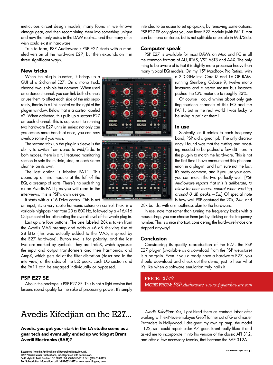meticulous circuit design models, many found in well-known vintage gear, and then recombining them into something unique and new that only exists in the DAW realm... and that many of us wish could exist in hardware.

True to form, PSP Audioware's PSP E27 starts with a modeled version of the hardware E27, but then expands on it in three significant ways.

#### New tricks

When the plug-in launches, it brings up a GUI of a 2-channel E27. On a mono track, channel two is visible but dormant. When used on a stereo channel, you can link both channels or use them to affect each side of the mix separately, thanks to a Link control on the right of the plug-in window. Below that is a control labeled x2. When activated, this pulls up a *second* E27 on each channel. This is equivalent to running two hardware E27 units in series; not only can you access more bands at once, you can now overlap some if you wish.

The second trick up the plug-in's sleeve is the ability to switch from stereo to Mid/Side. In both modes, there is a full featured monitoring section to solo the middle, side, or each stereo channel on its own.

The last option is labeled PA11. This opens up a third module at the left of the EQ, a preamp of sorts. There's no such thing as an Avedis PA11; as you will read in the interviews, this is PSP's own design.

It starts with  $a \pm 16$  Drive control. This is not

an input, it's a very subtle harmonic saturation control. Next is a variable highpass filter from 20 to 800 Hz, followed by a +16/-16 Output control for attenuating the overall level of the whole plug-in.

Last up are four buttons. The one labeled 28k is taken from the Avedis MA5 preamp and adds a +6 dB shelving rise at 28 kHz (this was actually added to the MA5, inspired by the E27 hardware). Button two is for polarity, and the last two are marked by symbols. They are TrafoX, which bypasses the input and output transformers and their harmonics, and AmpX, which gets rid of the filter distortion (described in the interview) at the sides of the EQ peak. Each EQ section and the PA11 can be engaged individually or bypassed.

#### PSP E27 SE

Also in the package is PSP E27 SE. This is not a light version that lessens sound quality for the sake of processing power. It's simply

intended to be easier to set up quickly, by removing some options. PSP E27 SE only gives you one fixed E27 module (with PA11) that can be mono or stereo, but is not splittable or usable in Mid/Side.

#### Computer speak

PSP E27 is available for most DAWs on Mac and PC in all the common formats of AU, RTAS, VST, VST3 and AAX. The only thing to be aware of is that it is slightly more processor-heavy than many typical EQ models. On my 15" MacBook Pro Retina, with

> a 2.3 GHz Intel Core i7 and 16 GB RAM, running Steinberg Cubase 9, twelve mono instances and a stereo master bus instance pushed the CPU meter up to roughly 33%.

> Of course I could whine about only getting fourteen channels of this EQ and the PA11, but in the real world I was lucky to be using a pair of them!

#### In use

Sonically, as it relates to each frequency band, PSP did a great job. The only discrepancy I found was that the cutting and boosting needed to be pushed a few dB more in the plug-in to match the hardware. This is not the first time I have encountered this phenomenon in a plug-in, and I am sure not the last. It's pretty common, and if you use your ears, you can match the two perfectly well. [*PSP Audioware reports that this is deliberate, to allow for finer mouse control when working around 0 dB peaks.—Ed.*] Of special note is how well PSP captured the 20k, 24k, and

28k bands, with a smoothness akin to the hardware.

In use, note that rather than turning the frequency knobs with a mouse drag, you can choose them just by clicking on the frequency number. This is a nice shortcut, considering the hardware knobs are stepped anyway!

#### Conclusion

Considering its quality reproduction of the E27, the PSP E27 plug-in (available as a download from the PSP webstore) is a bargain. Even if you already have a hardware E27, you should download and check out the demo, just to hear what it's like when a software emulation truly nails it.

PRICE: *\$149* MORE FROM: *PSP Audioware, www.pspaudioware.com*

## Avedis Kifedjian on the E27...

Avedis, you got your start in the LA studio scene as a gear tech and eventually ended up working at Brent Averill Electronics (BAE)?

*Avedis Kifedjian*: Yes, I got hired there as contract labor after working with ex-Neve employee Geoff Tanner out of Grandmaster Recorders in Hollywood. I designed my own op amp, the model 1122, so I could repair older API gear. Brent really liked it and asked me to incorporate it into his version of the classic API 312, and after a few necessary tweaks, that became the BAE 312A.



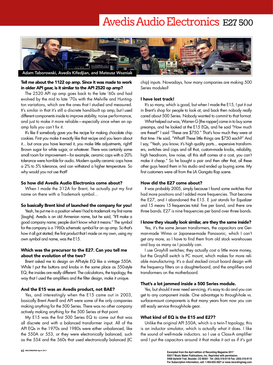# Avedis Audio Electronics E27 500



#### Tell me about the 1122 op amp. Since it was made to work in older API gear, is it similar to the API 2520 op amp?

The 2520 API op amp goes back to the late '60s and had evolved by the mid to late '70s with the Melville and Huntington variations, which are the ones that I studied and measured. It's similar in that it's still a discrete hand-built op amp, but I used different components inside to improve stability, noise performance, and just to make it more reliable—especially since when an opamp fails you can't fix it.

It's like if somebody gave you the recipe for making chocolate chip cookies. First you make it exactly like that recipe and you learn about it... but once you have learned it, you make little adjustments, right? Brown sugar for white sugar, or whatever. There was certainly some small room for improvement—for example, ceramic caps with a 20% tolerance were horrible for audio. Modern quality ceramic caps have a 2% to 5% tolerance, and can withstand a higher temperature. So why would you not use that?

#### So how did Avedis Audio Electronics come about?

When I made the 312A for Brent, he actually put my first name on there with a Trademark symbol...

#### So basically Brent kind of launched the company for you!

Yeah, he put me in a position where I had to trademark my first name [*laughs*]. Avedis is an old Armenian name, but he said, "It'll make a good company name; people don't know what it means." The symbol for the company is a 1960s schematic symbol for an op amp. So that's how it all got started; the first product that I made on my own, using my own symbol and name, was the E15.

#### Which was the precursor to the E27. Can you tell me about the evolution of the two?

Brent asked me to design an API-style EQ like a vintage 550A. While I put the buttons and knobs in the same place as 550-style EQ, the insides are really different. The calculations, the topology, the way that I used the amplifiers and the filter design, make it unique.

#### And the E15 was an Avedis product, not BAE?

Yes, and interestingly when the E15 came out in 2003, basically Brent Averill and API were some of the only companies making anything for the 500 Series. There was no other company actively making anything for the 500 Series at that point.

My E15 was the first 500 Series EQ to come out that was all discrete and with a balanced transformer input. All of the API EQs in the 1970s and 1980s were either unbalanced, like the 550A or 553, or they were electronically balanced, such as the 554 and the 560s that used electronically balanced (IC chip) inputs. Nowadays, how many companies are making 500 Series modules?

#### I have lost track!

It's so many, which is good, but when I made the E15, I put it out in Brent's shop for people to look at, and back then nobody really cared about 500 Series. Nobody wanted to commit to that format.

What helped out was, Warren G [the rapper] came in to buy some preamps, and he looked at the E15 EQs, and he said "How much are these?" I said "These are \$750." That's how much they were at that time. He said, "What? These little things are \$750 each?" And I say, "Yeah, you know, it's high quality parts... expensive transformers, switches and caps and all that, custom-made knobs, reliability, high headroom, low noise, all this stuff comes at a cost, you can't make it cheap." So he bought a pair and then after that, all these other guys heard them in his studio and ended up buying some. My first customers were all from the LA Gangsta Rap scene.

#### How did the E27 come about?

It was probably 2005, simply because I found some switches that had more positions and I added more frequencies. That became the E27, and I abandoned the E15. E just stands for Equalizer and 15 means 15 frequencies total: five per band, and there are three bands. E27 is nine frequencies per band over three bands.

#### I know they visually look similar, are they the same inside?

Yes, it's the same Jensen transformers, the capacitors are German-made Wima or Japanese-made Panasonic, which I can't get any more, so I have to find them from old stock warehouses and buy as many as I possibly can.

I use Grayhill switches; they actually cost a little more money, but the Grayhill switch is PC mount, which makes for more reliable manufacturing. It's a dual stacked circuit board design with the frequency filters on a daughterboard, and the amplifiers and transformers on the motherboard.

#### That's a lot jammed inside a 500 Series module.

Yes, but should it ever need servicing, it's easy to do and you can get to any component inside. One advantage to through-hole vs. surface-mount components is that many years from now you can still easily service through-hole gear.

#### What kind of EQ is the E15 and E27?

Unlike the original API 550A, which is a twin-T topology, this is an inductor simulator, which is actually what it does. I like the sound of well-made inductors. so I use a Class-A amplifier and I put the capacitors around it that make it act as if it's got

**Excerpted from the April edition of Recording Magazine 2017 ©2017 Music Maker Publications, Inc. Reprinted with permission. 5408 Idylwild Trail, Boulder, CO 80301 Tel: (303) 516-9118 Fax: (303) 516-9119 For Subscription Information, call: 1-954-653-3927 or www.recordingmag.com**